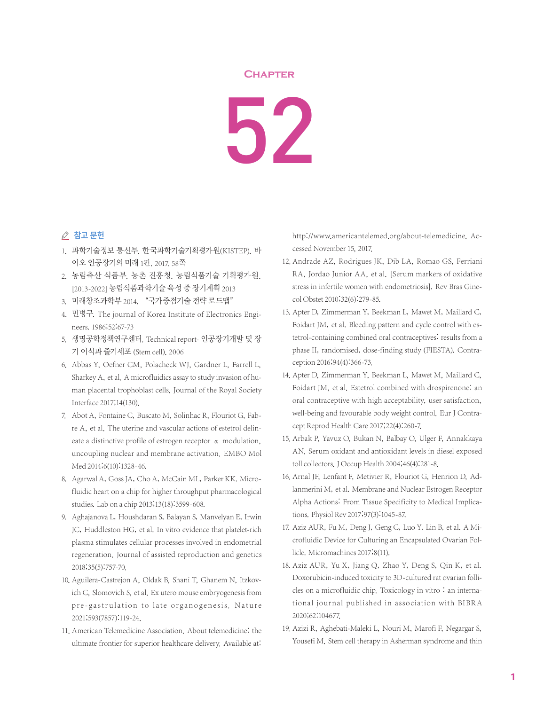## **Chapter**

52

## △ 참고 문헌

- 1. 과학기술정보 통신부. 한국과학기술기획평가원(KISTEP). 바 이오 인공장기의 미래 1판. 2017. 58쪽
- 2. 농림축산 식품부. 농촌 진흥청. 농림식품기술 기획평가원. [2013-2022] 농림식품과학기술 육성 중 장기계획 2013
- 3. 미래창조과학부 2014, "국가중점기술 전략 로드맵"
- 4. 민병구. The journal of Korea Institute of Electronics Engineers. 1986;52:67-73
- 5. 생명공학정책연구센터. Technical report- 인공장기개발 및 장 기 이식과 줄기세포 (Stem cell). 2006
- 6. Abbas Y, Oefner CM, Polacheck WJ, Gardner L, Farrell L, Sharkey A, et al. A microfluidics assay to study invasion of human placental trophoblast cells. Journal of the Royal Society Interface 2017;14(130).
- 7. Abot A, Fontaine C, Buscato M, Solinhac R, Flouriot G, Fabre A, et al. The uterine and vascular actions of estetrol delineate a distinctive profile of estrogen receptor α modulation, uncoupling nuclear and membrane activation. EMBO Mol Med 2014;6(10):1328-46.
- 8. Agarwal A, Goss JA, Cho A, McCain ML, Parker KK. Microfluidic heart on a chip for higher throughput pharmacological studies. Lab on a chip 2013;13(18):3599-608.
- 9. Aghajanova L, Houshdaran S, Balayan S, Manvelyan E, Irwin JC, Huddleston HG, et al. In vitro evidence that platelet-rich plasma stimulates cellular processes involved in endometrial regeneration. Journal of assisted reproduction and genetics 2018;35(5):757-70.
- 10. Aguilera-Castrejon A, Oldak B, Shani T, Ghanem N, Itzkovich C, Slomovich S, et al. Ex utero mouse embryogenesis from pre-gastrulation to late organogenesis. Nature 2021;593(7857):119-24.
- 11. American Telemedicine Association. About telemedicine: the ultimate frontier for superior healthcare delivery. Available at:

http://www.americantelemed.org/about-telemedicine. Accessed November 15, 2017.

- 12. Andrade AZ, Rodrigues JK, Dib LA, Romao GS, Ferriani RA, Jordao Junior AA, et al. [Serum markers of oxidative stress in infertile women with endometriosis]. Rev Bras Ginecol Obstet 2010;32(6):279-85.
- 13. Apter D, Zimmerman Y, Beekman L, Mawet M, Maillard C, Foidart JM, et al. Bleeding pattern and cycle control with estetrol-containing combined oral contraceptives: results from a phase II, randomised, dose-finding study (FIESTA). Contraception 2016;94(4):366-73.
- 14. Apter D, Zimmerman Y, Beekman L, Mawet M, Maillard C, Foidart JM, et al. Estetrol combined with drospirenone: an oral contraceptive with high acceptability, user satisfaction, well-being and favourable body weight control. Eur J Contracept Reprod Health Care 2017;22(4):260-7.
- 15. Arbak P, Yavuz O, Bukan N, Balbay O, Ulger F, Annakkaya AN. Serum oxidant and antioxidant levels in diesel exposed toll collectors. J Occup Health 2004;46(4):281-8.
- 16. Arnal JF, Lenfant F, Metivier R, Flouriot G, Henrion D, Adlanmerini M, et al. Membrane and Nuclear Estrogen Receptor Alpha Actions: From Tissue Specificity to Medical Implications. Physiol Rev 2017;97(3):1045-87.
- 17. Aziz AUR, Fu M, Deng J, Geng C, Luo Y, Lin B, et al. A Microfluidic Device for Culturing an Encapsulated Ovarian Follicle. Micromachines 2017;8(11).
- 18. Aziz AUR, Yu X, Jiang Q, Zhao Y, Deng S, Qin K, et al. Doxorubicin-induced toxicity to 3D-cultured rat ovarian follicles on a microfluidic chip. Toxicology in vitro : an international journal published in association with BIBRA 2020;62:104677.
- 19. Azizi R, Aghebati-Maleki L, Nouri M, Marofi F, Negargar S, Yousefi M. Stem cell therapy in Asherman syndrome and thin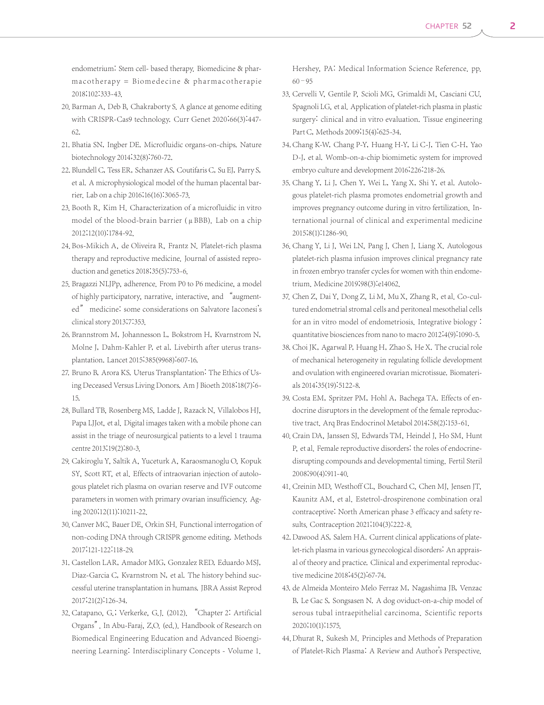endometrium: Stem cell- based therapy. Biomedicine & pharmacotherapy = Biomedecine & pharmacotherapie 2018;102:333-43.

- 20. Barman A, Deb B, Chakraborty S. A glance at genome editing with CRISPR-Cas9 technology. Curr Genet 2020;66(3):447- 62.
- 21. Bhatia SN, Ingber DE. Microfluidic organs-on-chips. Nature biotechnology 2014;32(8):760-72.
- 22. Blundell C, Tess ER, Schanzer AS, Coutifaris C, Su EJ, Parry S, et al. A microphysiological model of the human placental barrier. Lab on a chip 2016;16(16):3065-73.
- 23. Booth R, Kim H. Characterization of a microfluidic in vitro model of the blood-brain barrier (μBBB). Lab on a chip 2012;12(10):1784-92.
- 24. Bos-Mikich A, de Oliveira R, Frantz N. Platelet-rich plasma therapy and reproductive medicine. Journal of assisted reproduction and genetics 2018;35(5):753-6.
- 25. Bragazzi NLJPp, adherence. From P0 to P6 medicine, a model of highly participatory, narrative, interactive, and "augmented" medicine: some considerations on Salvatore Iaconesi's clinical story 2013;7:353.
- 26. Brannstrom M, Johannesson L, Bokstrom H, Kvarnstrom N, Molne J, Dahm-Kahler P, et al. Livebirth after uterus transplantation. Lancet 2015;385(9968):607-16.
- 27. Bruno B, Arora KS. Uterus Transplantation: The Ethics of Using Deceased Versus Living Donors. Am J Bioeth 2018;18(7):6- 15.
- 28. Bullard TB, Rosenberg MS, Ladde J, Razack N, Villalobos HJ, Papa LJJot, et al. Digital images taken with a mobile phone can assist in the triage of neurosurgical patients to a level 1 trauma centre 2013;19(2):80-3.
- 29. Cakiroglu Y, Saltik A, Yuceturk A, Karaosmanoglu O, Kopuk SY, Scott RT, et al. Effects of intraovarian injection of autologous platelet rich plasma on ovarian reserve and IVF outcome parameters in women with primary ovarian insufficiency. Aging 2020;12(11):10211-22.
- 30. Canver MC, Bauer DE, Orkin SH. Functional interrogation of non-coding DNA through CRISPR genome editing. Methods 2017;121-122:118-29.
- 31. Castellon LAR, Amador MIG, Gonzalez RED, Eduardo MSJ, Diaz-Garcia C, Kvarnstrom N, et al. The history behind successful uterine transplantation in humans. JBRA Assist Reprod 2017;21(2):126-34.
- 32. Catapano, G.; Verkerke, G.J. (2012). "Chapter 2: Artificial Organs". In Abu-Faraj, Z.O. (ed.). Handbook of Research on Biomedical Engineering Education and Advanced Bioengineering Learning: Interdisciplinary Concepts - Volume 1.

Hershey, PA: Medical Information Science Reference. pp.  $60 - 95$ 

- 33. Cervelli V, Gentile P, Scioli MG, Grimaldi M, Casciani CU, Spagnoli LG, et al. Application of platelet-rich plasma in plastic surgery: clinical and in vitro evaluation. Tissue engineering Part C, Methods 2009;15(4):625-34.
- 34. Chang K-W, Chang P-Y, Huang H-Y, Li C-J, Tien C-H, Yao D-J, et al. Womb-on-a-chip biomimetic system for improved embryo culture and development 2016;226:218-26.
- 35. Chang Y, Li J, Chen Y, Wei L, Yang X, Shi Y, et al. Autologous platelet-rich plasma promotes endometrial growth and improves pregnancy outcome during in vitro fertilization. International journal of clinical and experimental medicine 2015;8(1):1286-90.
- 36. Chang Y, Li J, Wei LN, Pang J, Chen J, Liang X. Autologous platelet-rich plasma infusion improves clinical pregnancy rate in frozen embryo transfer cycles for women with thin endometrium. Medicine 2019;98(3):e14062.
- 37. Chen Z, Dai Y, Dong Z, Li M, Mu X, Zhang R, et al. Co-cultured endometrial stromal cells and peritoneal mesothelial cells for an in vitro model of endometriosis. Integrative biology : quantitative biosciences from nano to macro 2012;4(9):1090-5.
- 38. Choi JK, Agarwal P, Huang H, Zhao S, He X. The crucial role of mechanical heterogeneity in regulating follicle development and ovulation with engineered ovarian microtissue. Biomaterials 2014;35(19):5122-8.
- 39. Costa EM, Spritzer PM, Hohl A, Bachega TA. Effects of endocrine disruptors in the development of the female reproductive tract. Arq Bras Endocrinol Metabol 2014;58(2):153-61.
- 40. Crain DA, Janssen SJ, Edwards TM, Heindel J, Ho SM, Hunt P, et al. Female reproductive disorders: the roles of endocrinedisrupting compounds and developmental timing. Fertil Steril 2008;90(4):911-40.
- 41. Creinin MD, Westhoff CL, Bouchard C, Chen MJ, Jensen JT, Kaunitz AM, et al. Estetrol-drospirenone combination oral contraceptive: North American phase 3 efficacy and safety results. Contraception 2021;104(3):222-8.
- 42. Dawood AS, Salem HA. Current clinical applications of platelet-rich plasma in various gynecological disorders: An appraisal of theory and practice. Clinical and experimental reproductive medicine 2018;45(2):67-74.
- 43. de Almeida Monteiro Melo Ferraz M, Nagashima JB, Venzac B, Le Gac S, Songsasen N. A dog oviduct-on-a-chip model of serous tubal intraepithelial carcinoma. Scientific reports 2020;10(1):1575.
- 44. Dhurat R, Sukesh M. Principles and Methods of Preparation of Platelet-Rich Plasma: A Review and Author's Perspective.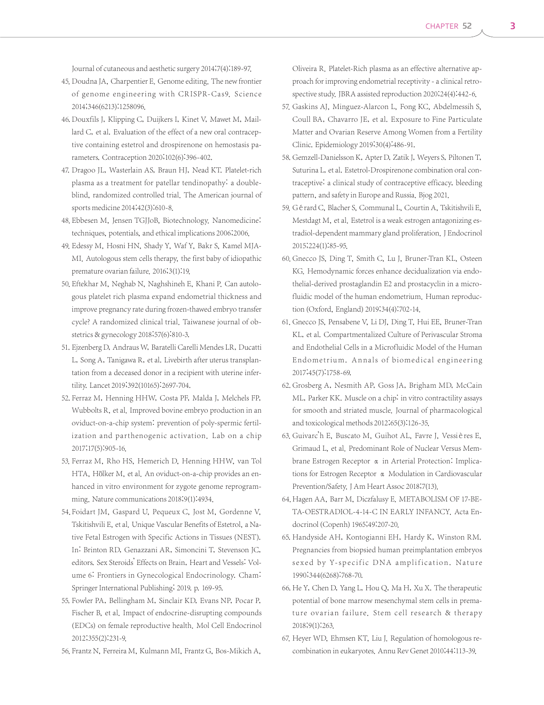Journal of cutaneous and aesthetic surgery 2014;7(4):189-97.

- 45. Doudna JA, Charpentier E. Genome editing. The new frontier of genome engineering with CRISPR-Cas9. Science 2014;346(6213):1258096.
- 46. Douxfils J, Klipping C, Duijkers I, Kinet V, Mawet M, Maillard C, et al. Evaluation of the effect of a new oral contraceptive containing estetrol and drospirenone on hemostasis parameters. Contraception 2020;102(6):396-402.
- 47. Dragoo JL, Wasterlain AS, Braun HJ, Nead KT. Platelet-rich plasma as a treatment for patellar tendinopathy: a doubleblind, randomized controlled trial. The American journal of sports medicine 2014;42(3):610-8.
- 48. Ebbesen M, Jensen TGJJoB, Biotechnology. Nanomedicine: techniques, potentials, and ethical implications 2006;2006.
- 49. Edessy M, Hosni HN, Shady Y, Waf Y, Bakr S, Kamel MJA-MI. Autologous stem cells therapy, the first baby of idiopathic premature ovarian failure. 2016;3(1):19.
- 50. Eftekhar M, Neghab N, Naghshineh E, Khani P. Can autologous platelet rich plasma expand endometrial thickness and improve pregnancy rate during frozen-thawed embryo transfer cycle? A randomized clinical trial. Taiwanese journal of obstetrics & gynecology 2018;57(6):810-3.
- 51. Ejzenberg D, Andraus W, Baratelli Carelli Mendes LR, Ducatti L, Song A, Tanigawa R, et al. Livebirth after uterus transplantation from a deceased donor in a recipient with uterine infertility. Lancet 2019;392(10165):2697-704.
- 52. Ferraz M, Henning HHW, Costa PF, Malda J, Melchels FP, Wubbolts R, et al. Improved bovine embryo production in an oviduct-on-a-chip system: prevention of poly-spermic fertilization and parthenogenic activation. Lab on a chip 2017;17(5):905-16.
- 53. Ferraz M, Rho HS, Hemerich D, Henning HHW, van Tol HTA, Hölker M, et al. An oviduct-on-a-chip provides an enhanced in vitro environment for zygote genome reprogramming. Nature communications 2018;9(1):4934.
- 54. Foidart JM, Gaspard U, Pequeux C, Jost M, Gordenne V, Tskitishvili E, et al. Unique Vascular Benefits of Estetrol, a Native Fetal Estrogen with Specific Actions in Tissues (NEST). In: Brinton RD, Genazzani AR, Simoncini T, Stevenson JC, editors. Sex Steroids' Effects on Brain, Heart and Vessels: Volume 6: Frontiers in Gynecological Endocrinology. Cham: Springer International Publishing; 2019. p. 169-95.
- 55. Fowler PA, Bellingham M, Sinclair KD, Evans NP, Pocar P, Fischer B, et al. Impact of endocrine-disrupting compounds (EDCs) on female reproductive health. Mol Cell Endocrinol 2012;355(2):231-9.
- 56. Frantz N, Ferreira M, Kulmann MI, Frantz G, Bos-Mikich A,

Oliveira R. Platelet-Rich plasma as an effective alternative approach for improving endometrial receptivity - a clinical retrospective study. JBRA assisted reproduction 2020;24(4):442-6.

- 57. Gaskins AJ, Minguez-Alarcon L, Fong KC, Abdelmessih S, Coull BA, Chavarro JE, et al. Exposure to Fine Particulate Matter and Ovarian Reserve Among Women from a Fertility Clinic. Epidemiology 2019;30(4):486-91.
- 58. Gemzell-Danielsson K, Apter D, Zatik J, Weyers S, Piltonen T, Suturina L, et al. Estetrol-Drospirenone combination oral contraceptive: a clinical study of contraceptive efficacy, bleeding pattern, and safety in Europe and Russia. Bjog 2021.
- 59. Gérard C, Blacher S, Communal L, Courtin A, Tskitishvili E, Mestdagt M, et al. Estetrol is a weak estrogen antagonizing estradiol-dependent mammary gland proliferation. J Endocrinol 2015;224(1):85-95.
- 60. Gnecco JS, Ding T, Smith C, Lu J, Bruner-Tran KL, Osteen KG. Hemodynamic forces enhance decidualization via endothelial-derived prostaglandin E2 and prostacyclin in a microfluidic model of the human endometrium. Human reproduction (Oxford, England) 2019;34(4):702-14.
- 61. Gnecco JS, Pensabene V, Li DJ, Ding T, Hui EE, Bruner-Tran KL, et al. Compartmentalized Culture of Perivascular Stroma and Endothelial Cells in a Microfluidic Model of the Human Endometrium. Annals of biomedical engineering 2017;45(7):1758-69.
- 62. Grosberg A, Nesmith AP, Goss JA, Brigham MD, McCain ML, Parker KK. Muscle on a chip: in vitro contractility assays for smooth and striated muscle. Journal of pharmacological and toxicological methods 2012;65(3):126-35.
- 63. Guivarc'h E, Buscato M, Guihot AL, Favre J, Vessières E, Grimaud L, et al. Predominant Role of Nuclear Versus Membrane Estrogen Receptor α in Arterial Protection: Implications for Estrogen Receptor α Modulation in Cardiovascular Prevention/Safety. J Am Heart Assoc 2018;7(13).
- 64. Hagen AA, Barr M, Diczfalusy E. METABOLISM OF 17-BE-TA-OESTRADIOL-4-14-C IN EARLY INFANCY. Acta Endocrinol(Copenh) 1965;49:207-20.
- 65. Handyside AH, Kontogianni EH, Hardy K, Winston RM. Pregnancies from biopsied human preimplantation embryos sexed by Y-specific DNA amplification. Nature 1990;344(6268):768-70.
- 66. He Y, Chen D, Yang L, Hou Q, Ma H, Xu X. The therapeutic potential of bone marrow mesenchymal stem cells in premature ovarian failure. Stem cell research & therapy 2018;9(1):263.
- 67. Heyer WD, Ehmsen KT, Liu J. Regulation of homologous recombination in eukaryotes. Annu Rev Genet 2010;44:113-39.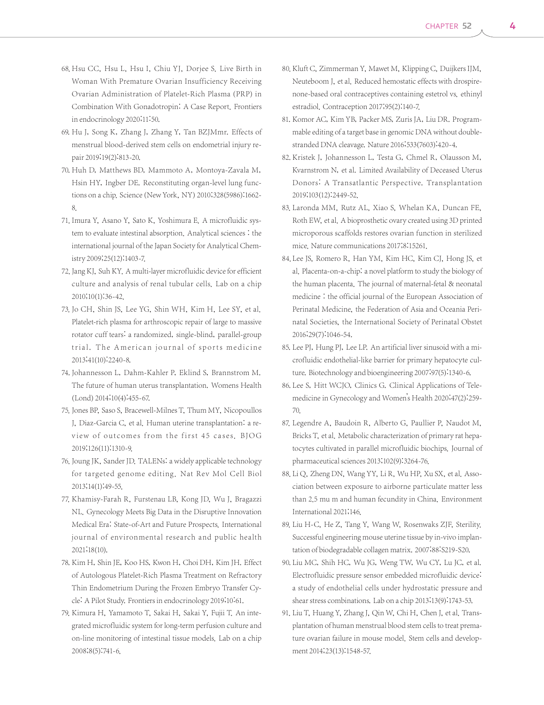- 68. Hsu CC, Hsu L, Hsu I, Chiu YJ, Dorjee S. Live Birth in Woman With Premature Ovarian Insufficiency Receiving Ovarian Administration of Platelet-Rich Plasma (PRP) in Combination With Gonadotropin: A Case Report. Frontiers in endocrinology 2020;11:50.
- 69. Hu J, Song K, Zhang J, Zhang Y, Tan BZJMmr. Effects of menstrual blood‑derived stem cells on endometrial injury repair 2019;19(2):813-20.
- 70. Huh D, Matthews BD, Mammoto A, Montoya-Zavala M, Hsin HY, Ingber DE. Reconstituting organ-level lung functions on a chip. Science (New York, NY) 2010;328(5986):1662- 8.
- 71. Imura Y, Asano Y, Sato K, Yoshimura E. A microfluidic system to evaluate intestinal absorption. Analytical sciences : the international journal of the Japan Society for Analytical Chemistry 2009;25(12):1403-7.
- 72. Jang KJ, Suh KY. A multi-layer microfluidic device for efficient culture and analysis of renal tubular cells. Lab on a chip 2010;10(1):36-42.
- 73. Jo CH, Shin JS, Lee YG, Shin WH, Kim H, Lee SY, et al. Platelet-rich plasma for arthroscopic repair of large to massive rotator cuff tears: a randomized, single-blind, parallel-group trial. The American journal of sports medicine 2013;41(10):2240-8.
- 74. Johannesson L, Dahm-Kahler P, Eklind S, Brannstrom M. The future of human uterus transplantation. Womens Health (Lond) 2014;10(4):455-67.
- 75. Jones BP, Saso S, Bracewell-Milnes T, Thum MY, Nicopoullos J, Diaz-Garcia C, et al. Human uterine transplantation: a review of outcomes from the first 45 cases. BJOG 2019;126(11):1310-9.
- 76. Joung JK, Sander JD. TALENs: a widely applicable technology for targeted genome editing. Nat Rev Mol Cell Biol 2013;14(1):49-55.
- 77. Khamisy-Farah R, Furstenau LB, Kong JD, Wu J, Bragazzi NL. Gynecology Meets Big Data in the Disruptive Innovation Medical Era: State-of-Art and Future Prospects. International journal of environmental research and public health 2021;18(10).
- 78. Kim H, Shin JE, Koo HS, Kwon H, Choi DH, Kim JH. Effect of Autologous Platelet-Rich Plasma Treatment on Refractory Thin Endometrium During the Frozen Embryo Transfer Cycle: A Pilot Study. Frontiers in endocrinology 2019;10:61.
- 79. Kimura H, Yamamoto T, Sakai H, Sakai Y, Fujii T. An integrated microfluidic system for long-term perfusion culture and on-line monitoring of intestinal tissue models. Lab on a chip 2008;8(5):741-6.
- 80. Kluft C, Zimmerman Y, Mawet M, Klipping C, Duijkers IJM, Neuteboom J, et al. Reduced hemostatic effects with drospirenone-based oral contraceptives containing estetrol vs. ethinyl estradiol. Contraception 2017;95(2):140-7.
- 81. Komor AC, Kim YB, Packer MS, Zuris JA, Liu DR. Programmable editing of a target base in genomic DNA without doublestranded DNA cleavage. Nature 2016;533(7603):420-4.
- 82. Kristek J, Johannesson L, Testa G, Chmel R, Olausson M, Kvarnstrom N, et al. Limited Availability of Deceased Uterus Donors: A Transatlantic Perspective. Transplantation 2019;103(12):2449-52.
- 83. Laronda MM, Rutz AL, Xiao S, Whelan KA, Duncan FE, Roth EW, et al. A bioprosthetic ovary created using 3D printed microporous scaffolds restores ovarian function in sterilized mice. Nature communications 2017;8:15261.
- 84. Lee JS, Romero R, Han YM, Kim HC, Kim CJ, Hong JS, et al. Placenta-on-a-chip: a novel platform to study the biology of the human placenta. The journal of maternal-fetal & neonatal medicine : the official journal of the European Association of Perinatal Medicine, the Federation of Asia and Oceania Perinatal Societies, the International Society of Perinatal Obstet 2016;29(7):1046-54.
- 85. Lee PJ, Hung PJ, Lee LP. An artificial liver sinusoid with a microfluidic endothelial-like barrier for primary hepatocyte culture. Biotechnology and bioengineering 2007;97(5):1340-6.
- 86. Lee S, Hitt WCJO, Clinics G. Clinical Applications of Telemedicine in Gynecology and Women's Health 2020;47(2):259- 70.
- 87. Legendre A, Baudoin R, Alberto G, Paullier P, Naudot M, Bricks T, et al. Metabolic characterization of primary rat hepatocytes cultivated in parallel microfluidic biochips. Journal of pharmaceutical sciences 2013;102(9):3264-76.
- 88. Li Q, Zheng DN, Wang YY, Li R, Wu HP, Xu SX, et al. Association between exposure to airborne particulate matter less than 2.5 mu m and human fecundity in China. Environment International 2021;146.
- 89. Liu H-C, He Z, Tang Y, Wang W, Rosenwaks ZJF, Sterility. Successful engineering mouse uterine tissue by in-vivo implantation of biodegradable collagen matrix. 2007;88:S219-S20.
- 90. Liu MC, Shih HC, Wu JG, Weng TW, Wu CY, Lu JC, et al. Electrofluidic pressure sensor embedded microfluidic device: a study of endothelial cells under hydrostatic pressure and shear stress combinations. Lab on a chip 2013;13(9):1743-53.
- 91. Liu T, Huang Y, Zhang J, Qin W, Chi H, Chen J, et al. Transplantation of human menstrual blood stem cells to treat premature ovarian failure in mouse model. Stem cells and development 2014;23(13):1548-57.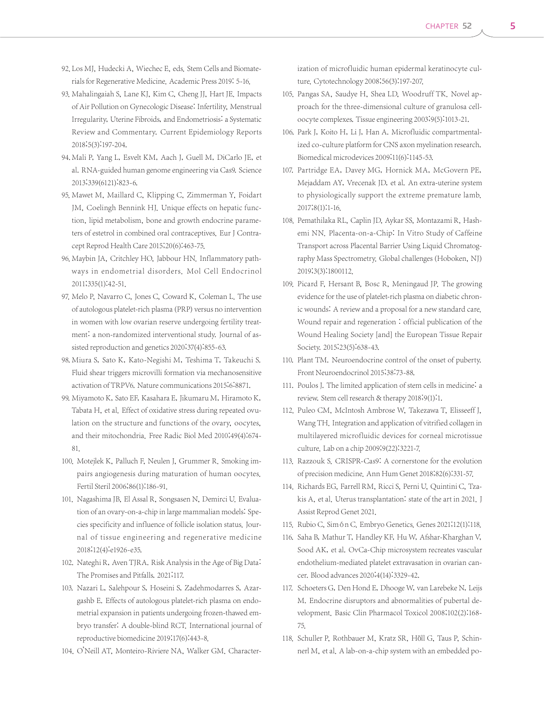- 92. Los MJ, Hudecki A, Wiechec E, eds. Stem Cells and Biomaterials for Regenerative Medicine. Academic Press 2019: 5-16.
- 93. Mahalingaiah S, Lane KJ, Kim C, Cheng JJ, Hart JE. Impacts of Air Pollution on Gynecologic Disease: Infertility, Menstrual Irregularity, Uterine Fibroids, and Endometriosis: a Systematic Review and Commentary. Current Epidemiology Reports 2018;5(3):197-204.
- 94. Mali P, Yang L, Esvelt KM, Aach J, Guell M, DiCarlo JE, et al. RNA-guided human genome engineering via Cas9. Science 2013;339(6121):823-6.
- 95. Mawet M, Maillard C, Klipping C, Zimmerman Y, Foidart JM, Coelingh Bennink HJ. Unique effects on hepatic function, lipid metabolism, bone and growth endocrine parameters of estetrol in combined oral contraceptives. Eur J Contracept Reprod Health Care 2015;20(6):463-75.
- 96. Maybin JA, Critchley HO, Jabbour HN. Inflammatory pathways in endometrial disorders. Mol Cell Endocrinol 2011;335(1):42-51.
- 97. Melo P, Navarro C, Jones C, Coward K, Coleman L, The use of autologous platelet-rich plasma (PRP) versus no intervention in women with low ovarian reserve undergoing fertility treatment: a non-randomized interventional study. Journal of assisted reproduction and genetics 2020;37(4):855-63.
- 98. Miura S, Sato K, Kato-Negishi M, Teshima T, Takeuchi S. Fluid shear triggers microvilli formation via mechanosensitive activation of TRPV6. Nature communications 2015;6:8871.
- 99. Miyamoto K, Sato EF, Kasahara E, Jikumaru M, Hiramoto K, Tabata H, et al. Effect of oxidative stress during repeated ovulation on the structure and functions of the ovary, oocytes, and their mitochondria. Free Radic Biol Med 2010;49(4):674- 81.
- 100. Motejlek K, Palluch F, Neulen J, Grummer R. Smoking impairs angiogenesis during maturation of human oocytes. Fertil Steril 2006;86(1):186-91.
- 101. Nagashima JB, El Assal R, Songsasen N, Demirci U. Evaluation of an ovary-on-a-chip in large mammalian models: Species specificity and influence of follicle isolation status. Journal of tissue engineering and regenerative medicine 2018;12(4):e1926-e35.
- 102. Nateghi R, Aven TJRA. Risk Analysis in the Age of Big Data: The Promises and Pitfalls. 2021;117.
- 103. Nazari L, Salehpour S, Hoseini S, Zadehmodarres S, Azargashb E. Effects of autologous platelet-rich plasma on endometrial expansion in patients undergoing frozen-thawed embryo transfer: A double-blind RCT. International journal of reproductive biomedicine 2019;17(6):443-8.
- 104. O'Neill AT, Monteiro-Riviere NA, Walker GM. Character-

ization of microfluidic human epidermal keratinocyte culture. Cytotechnology 2008;56(3):197-207.

- 105. Pangas SA, Saudye H, Shea LD, Woodruff TK. Novel approach for the three-dimensional culture of granulosa celloocyte complexes. Tissue engineering 2003;9(5):1013-21.
- 106. Park J, Koito H, Li J, Han A. Microfluidic compartmentalized co-culture platform for CNS axon myelination research. Biomedical microdevices 2009;11(6):1145-53.
- 107. Partridge EA, Davey MG, Hornick MA, McGovern PE, Mejaddam AY, Vrecenak JD, et al. An extra-uterine system to physiologically support the extreme premature lamb. 2017;8(1):1-16.
- 108. Pemathilaka RL, Caplin JD, Aykar SS, Montazami R, Hashemi NN. Placenta-on-a-Chip: In Vitro Study of Caffeine Transport across Placental Barrier Using Liquid Chromatography Mass Spectrometry. Global challenges (Hoboken, NJ) 2019;3(3):1800112.
- 109. Picard F, Hersant B, Bosc R, Meningaud JP. The growing evidence for the use of platelet-rich plasma on diabetic chronic wounds: A review and a proposal for a new standard care. Wound repair and regeneration: official publication of the Wound Healing Society [and] the European Tissue Repair Society. 2015;23(5):638-43.
- 110. Plant TM. Neuroendocrine control of the onset of puberty. Front Neuroendocrinol 2015;38:73-88.
- 111. Poulos J. The limited application of stem cells in medicine: a review. Stem cell research & therapy 2018;9(1):1.
- 112. Puleo CM, McIntosh Ambrose W, Takezawa T, Elisseeff J, Wang TH. Integration and application of vitrified collagen in multilayered microfluidic devices for corneal microtissue culture. Lab on a chip 2009;9(22):3221-7.
- 113. Razzouk S. CRISPR-Cas9: A cornerstone for the evolution of precision medicine. Ann Hum Genet 2018;82(6):331-57.
- 114. Richards EG, Farrell RM, Ricci S, Perni U, Quintini C, Tzakis A, et al. Uterus transplantation: state of the art in 2021. J Assist Reprod Genet 2021.
- 115. Rubio C, Simón C. Embryo Genetics. Genes 2021;12(1):118.
- 116. Saha B, Mathur T, Handley KF, Hu W, Afshar-Kharghan V, Sood AK, et al. OvCa-Chip microsystem recreates vascular endothelium-mediated platelet extravasation in ovarian cancer. Blood advances 2020;4(14):3329-42.
- 117. Schoeters G, Den Hond E, Dhooge W, van Larebeke N, Leijs M. Endocrine disruptors and abnormalities of pubertal development. Basic Clin Pharmacol Toxicol 2008;102(2):168- 75.
- 118. Schuller P, Rothbauer M, Kratz SR, Höll G, Taus P, Schinnerl M, et al. A lab-on-a-chip system with an embedded po-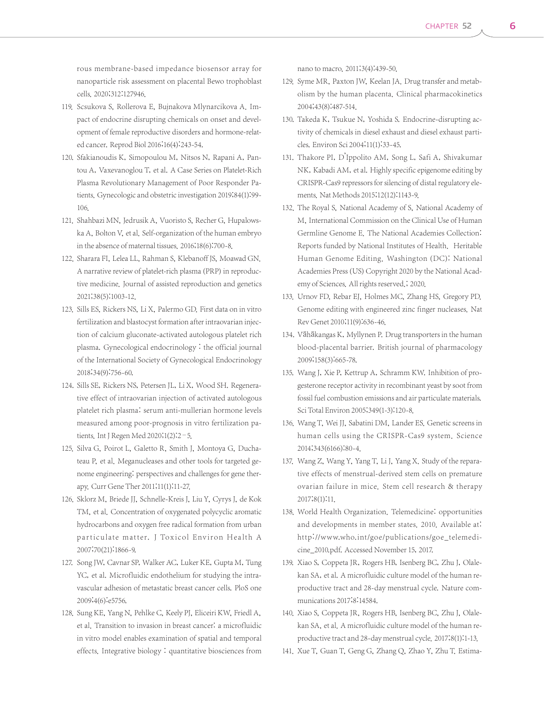rous membrane-based impedance biosensor array for nanoparticle risk assessment on placental Bewo trophoblast cells. 2020;312:127946.

- 119. Scsukova S, Rollerova E, Bujnakova Mlynarcikova A. Impact of endocrine disrupting chemicals on onset and development of female reproductive disorders and hormone-related cancer. Reprod Biol 2016;16(4):243-54.
- 120. Sfakianoudis K, Simopoulou M, Nitsos N, Rapani A, Pantou A, Vaxevanoglou T, et al. A Case Series on Platelet-Rich Plasma Revolutionary Management of Poor Responder Patients. Gynecologic and obstetric investigation 2019;84(1):99- 106.
- 121. Shahbazi MN, Jedrusik A, Vuoristo S, Recher G, Hupalowska A, Bolton V, et al. Self-organization of the human embryo in the absence of maternal tissues. 2016;18(6):700-8.
- 122. Sharara FI, Lelea LL, Rahman S, Klebanoff JS, Moawad GN. A narrative review of platelet-rich plasma (PRP) in reproductive medicine. Journal of assisted reproduction and genetics 2021;38(5):1003-12.
- 123. Sills ES, Rickers NS, Li X, Palermo GD. First data on in vitro fertilization and blastocyst formation after intraovarian injection of calcium gluconate-activated autologous platelet rich plasma. Gynecological endocrinology : the official journal of the International Society of Gynecological Endocrinology 2018;34(9):756-60.
- 124. Sills SE, Rickers NS, Petersen JL, Li X, Wood SH. Regenerative effect of intraovarian injection of activated autologous platelet rich plasma: serum anti-mullerian hormone levels measured among poor-prognosis in vitro fertilization patients. Int J Regen Med 2020;1(2):2-5.
- 125. Silva G, Poirot L, Galetto R, Smith J, Montoya G, Duchateau P, et al. Meganucleases and other tools for targeted genome engineering: perspectives and challenges for gene therapy. Curr Gene Ther 2011;11(1):11-27.
- 126. Sklorz M, Briede JJ, Schnelle-Kreis J, Liu Y, Cyrys J, de Kok TM, et al. Concentration of oxygenated polycyclic aromatic hydrocarbons and oxygen free radical formation from urban particulate matter. J Tox icol Environ Health A 2007;70(21):1866-9.
- 127. Song JW, Cavnar SP, Walker AC, Luker KE, Gupta M, Tung YC, et al. Microfluidic endothelium for studying the intravascular adhesion of metastatic breast cancer cells. PloS one 2009;4(6):e5756.
- 128. Sung KE, Yang N, Pehlke C, Keely PJ, Eliceiri KW, Friedl A, et al. Transition to invasion in breast cancer: a microfluidic in vitro model enables examination of spatial and temporal effects. Integrative biology : quantitative biosciences from

nano to macro. 2011;3(4):439-50.

- 129. Syme MR, Paxton JW, Keelan JA. Drug transfer and metabolism by the human placenta. Clinical pharmacokinetics 2004;43(8):487-514.
- 130. Takeda K, Tsukue N, Yoshida S. Endocrine-disrupting activity of chemicals in diesel exhaust and diesel exhaust particles. Environ Sci 2004;11(1):33-45.
- 131. Thakore PI, D'Ippolito AM, Song L, Safi A, Shivakumar NK, Kabadi AM, et al. Highly specific epigenome editing by CRISPR-Cas9 repressors for silencing of distal regulatory elements. Nat Methods 2015;12(12):1143-9.
- 132. The Royal S, National Academy of S, National Academy of M, International Commission on the Clinical Use of Human Germline Genome E. The National Academies Collection: Reports funded by National Institutes of Health. Heritable Human Genome Editing. Washington (DC): National Academies Press (US) Copyright 2020 by the National Academy of Sciences. All rights reserved.; 2020.
- 133. Urnov FD, Rebar EJ, Holmes MC, Zhang HS, Gregory PD. Genome editing with engineered zinc finger nucleases. Nat Rev Genet 2010;11(9):636-46.
- 134. Vähäkangas K, Myllynen P. Drug transporters in the human blood-placental barrier. British journal of pharmacology 2009;158(3):665-78.
- 135. Wang J, Xie P, Kettrup A, Schramm KW. Inhibition of progesterone receptor activity in recombinant yeast by soot from fossil fuel combustion emissions and air particulate materials. Sci Total Environ 2005;349(1-3):120-8.
- 136. Wang T, Wei JJ, Sabatini DM, Lander ES. Genetic screens in human cells using the CRISPR-Cas9 system. Science 2014;343(6166):80-4.
- 137. Wang Z, Wang Y, Yang T, Li J, Yang X. Study of the reparative effects of menstrual-derived stem cells on premature ovarian failure in mice. Stem cell research & therapy 2017;8(1):11.
- 138. World Health Organization. Telemedicine: opportunities and developments in member states. 2010. Available at: http://w w w.who.int/goe/publications/goe\_telemedicine\_2010.pdf. Accessed November 15, 2017.
- 139. Xiao S, Coppeta JR, Rogers HB, Isenberg BC, Zhu J, Olalekan SA, et al. A microfluidic culture model of the human reproductive tract and 28-day menstrual cycle. Nature communications 2017;8:14584.
- 140. Xiao S, Coppeta JR, Rogers HB, Isenberg BC, Zhu J, Olalekan SA, et al. A microfluidic culture model of the human reproductive tract and 28-day menstrual cycle. 2017;8(1):1-13.
- 141. Xue T, Guan T, Geng G, Zhang Q, Zhao Y, Zhu T. Estima-